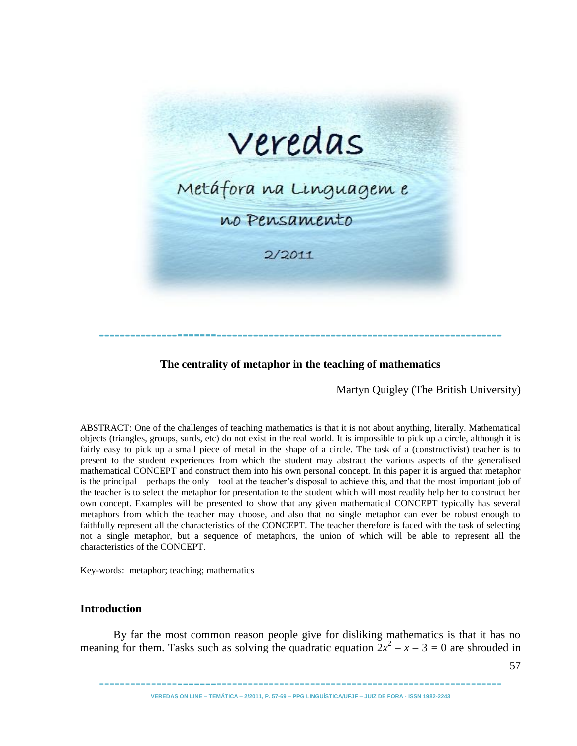

# **The centrality of metaphor in the teaching of mathematics**

**-----------------------------------------------------------------------------**

Martyn Quigley (The British University)

ABSTRACT: One of the challenges of teaching mathematics is that it is not about anything, literally. Mathematical objects (triangles, groups, surds, etc) do not exist in the real world. It is impossible to pick up a circle, although it is fairly easy to pick up a small piece of metal in the shape of a circle. The task of a (constructivist) teacher is to present to the student experiences from which the student may abstract the various aspects of the generalised mathematical CONCEPT and construct them into his own personal concept. In this paper it is argued that metaphor is the principal—perhaps the only—tool at the teacher's disposal to achieve this, and that the most important job of the teacher is to select the metaphor for presentation to the student which will most readily help her to construct her own concept. Examples will be presented to show that any given mathematical CONCEPT typically has several metaphors from which the teacher may choose, and also that no single metaphor can ever be robust enough to faithfully represent all the characteristics of the CONCEPT. The teacher therefore is faced with the task of selecting not a single metaphor, but a sequence of metaphors, the union of which will be able to represent all the characteristics of the CONCEPT.

Key-words: metaphor; teaching; mathematics

#### **Introduction**

By far the most common reason people give for disliking mathematics is that it has no meaning for them. Tasks such as solving the quadratic equation  $2x^2 - x - 3 = 0$  are shrouded in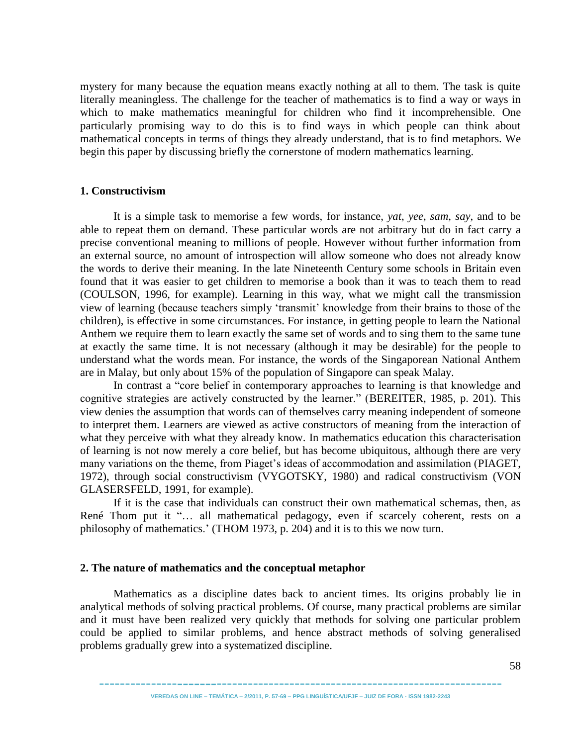mystery for many because the equation means exactly nothing at all to them. The task is quite literally meaningless. The challenge for the teacher of mathematics is to find a way or ways in which to make mathematics meaningful for children who find it incomprehensible. One particularly promising way to do this is to find ways in which people can think about mathematical concepts in terms of things they already understand, that is to find metaphors. We begin this paper by discussing briefly the cornerstone of modern mathematics learning.

#### **1. Constructivism**

It is a simple task to memorise a few words, for instance, *yat*, *yee*, *sam*, *say*, and to be able to repeat them on demand. These particular words are not arbitrary but do in fact carry a precise conventional meaning to millions of people. However without further information from an external source, no amount of introspection will allow someone who does not already know the words to derive their meaning. In the late Nineteenth Century some schools in Britain even found that it was easier to get children to memorise a book than it was to teach them to read (COULSON, 1996, for example). Learning in this way, what we might call the transmission view of learning (because teachers simply ‗transmit' knowledge from their brains to those of the children), is effective in some circumstances. For instance, in getting people to learn the National Anthem we require them to learn exactly the same set of words and to sing them to the same tune at exactly the same time. It is not necessary (although it may be desirable) for the people to understand what the words mean. For instance, the words of the Singaporean National Anthem are in Malay, but only about 15% of the population of Singapore can speak Malay.

In contrast a "core belief in contemporary approaches to learning is that knowledge and cognitive strategies are actively constructed by the learner." (BEREITER, 1985, p. 201). This view denies the assumption that words can of themselves carry meaning independent of someone to interpret them. Learners are viewed as active constructors of meaning from the interaction of what they perceive with what they already know. In mathematics education this characterisation of learning is not now merely a core belief, but has become ubiquitous, although there are very many variations on the theme, from Piaget's ideas of accommodation and assimilation (PIAGET, 1972), through social constructivism (VYGOTSKY, 1980) and radical constructivism (VON GLASERSFELD, 1991, for example).

If it is the case that individuals can construct their own mathematical schemas, then, as René Thom put it "... all mathematical pedagogy, even if scarcely coherent, rests on a philosophy of mathematics.' (THOM 1973, p. 204) and it is to this we now turn.

## **2. The nature of mathematics and the conceptual metaphor**

Mathematics as a discipline dates back to ancient times. Its origins probably lie in analytical methods of solving practical problems. Of course, many practical problems are similar and it must have been realized very quickly that methods for solving one particular problem could be applied to similar problems, and hence abstract methods of solving generalised problems gradually grew into a systematized discipline.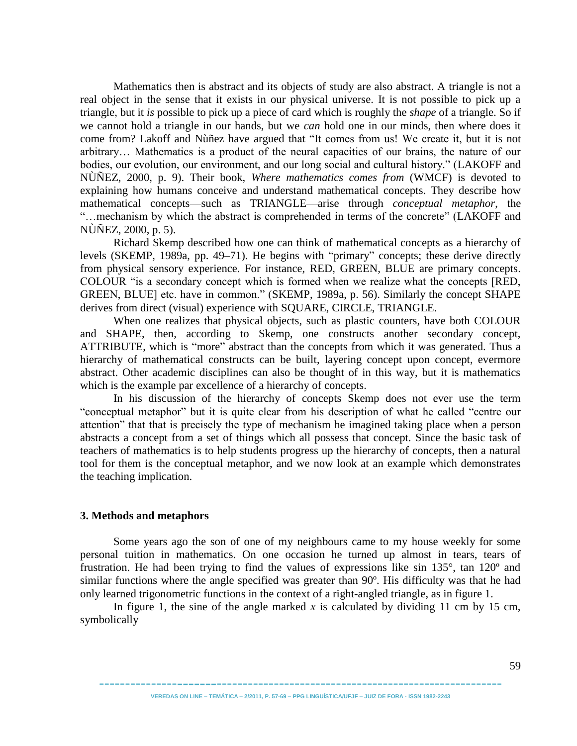Mathematics then is abstract and its objects of study are also abstract. A triangle is not a real object in the sense that it exists in our physical universe. It is not possible to pick up a triangle, but it *is* possible to pick up a piece of card which is roughly the *shape* of a triangle. So if we cannot hold a triangle in our hands, but we *can* hold one in our minds, then where does it come from? Lakoff and Nùñez have argued that "It comes from us! We create it, but it is not arbitrary… Mathematics is a product of the neural capacities of our brains, the nature of our bodies, our evolution, our environment, and our long social and cultural history." (LAKOFF and NÙÑEZ, 2000, p. 9). Their book, *Where mathematics comes from* (WMCF) is devoted to explaining how humans conceive and understand mathematical concepts. They describe how mathematical concepts—such as TRIANGLE—arise through *conceptual metaphor*, the "...mechanism by which the abstract is comprehended in terms of the concrete" (LAKOFF and NÙÑEZ, 2000, p. 5).

Richard Skemp described how one can think of mathematical concepts as a hierarchy of levels (SKEMP, 1989a, pp. 49–71). He begins with "primary" concepts; these derive directly from physical sensory experience. For instance, RED, GREEN, BLUE are primary concepts. COLOUR "is a secondary concept which is formed when we realize what the concepts [RED, GREEN, BLUE] etc. have in common." (SKEMP, 1989a, p. 56). Similarly the concept SHAPE derives from direct (visual) experience with SQUARE, CIRCLE, TRIANGLE.

When one realizes that physical objects, such as plastic counters, have both COLOUR and SHAPE, then, according to Skemp, one constructs another secondary concept, ATTRIBUTE, which is "more" abstract than the concepts from which it was generated. Thus a hierarchy of mathematical constructs can be built, layering concept upon concept, evermore abstract. Other academic disciplines can also be thought of in this way, but it is mathematics which is the example par excellence of a hierarchy of concepts.

In his discussion of the hierarchy of concepts Skemp does not ever use the term "conceptual metaphor" but it is quite clear from his description of what he called "centre our attention" that that is precisely the type of mechanism he imagined taking place when a person abstracts a concept from a set of things which all possess that concept. Since the basic task of teachers of mathematics is to help students progress up the hierarchy of concepts, then a natural tool for them is the conceptual metaphor, and we now look at an example which demonstrates the teaching implication.

#### **3. Methods and metaphors**

Some years ago the son of one of my neighbours came to my house weekly for some personal tuition in mathematics. On one occasion he turned up almost in tears, tears of frustration. He had been trying to find the values of expressions like sin 135°, tan 120º and similar functions where the angle specified was greater than 90º. His difficulty was that he had only learned trigonometric functions in the context of a right-angled triangle, as in figure 1.

In figure 1, the sine of the angle marked  $x$  is calculated by dividing 11 cm by 15 cm, symbolically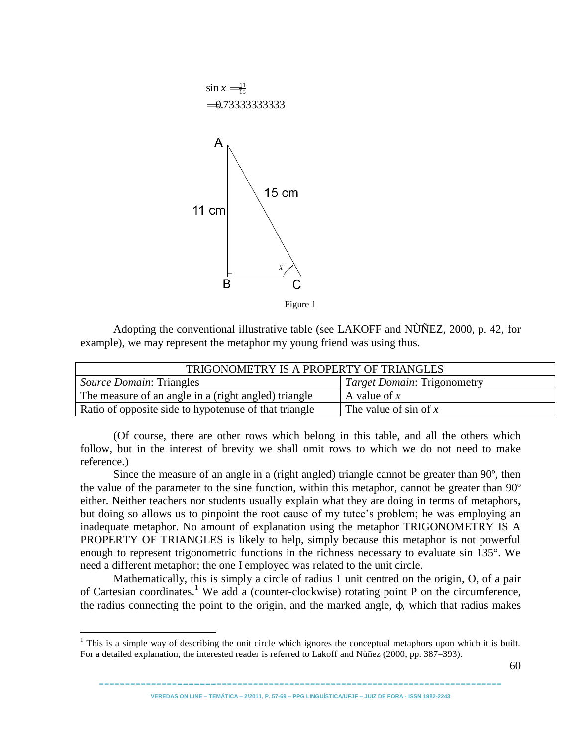

Adopting the conventional illustrative table (see LAKOFF and NÙÑEZ, 2000, p. 42, for example), we may represent the metaphor my young friend was using thus.

| TRIGONOMETRY IS A PROPERTY OF TRIANGLES               |                                    |  |
|-------------------------------------------------------|------------------------------------|--|
| <i>Source Domain: Triangles</i>                       | <i>Target Domain: Trigonometry</i> |  |
| The measure of an angle in a (right angled) triangle  | A value of $x$                     |  |
| Ratio of opposite side to hypotenuse of that triangle | The value of sin of $x$            |  |

(Of course, there are other rows which belong in this table, and all the others which follow, but in the interest of brevity we shall omit rows to which we do not need to make reference.)

Since the measure of an angle in a (right angled) triangle cannot be greater than 90º, then the value of the parameter to the sine function, within this metaphor, cannot be greater than 90º either. Neither teachers nor students usually explain what they are doing in terms of metaphors, but doing so allows us to pinpoint the root cause of my tutee's problem; he was employing an inadequate metaphor. No amount of explanation using the metaphor TRIGONOMETRY IS A PROPERTY OF TRIANGLES is likely to help, simply because this metaphor is not powerful enough to represent trigonometric functions in the richness necessary to evaluate sin 135°. We need a different metaphor; the one I employed was related to the unit circle.

Mathematically, this is simply a circle of radius 1 unit centred on the origin, O, of a pair of Cartesian coordinates.<sup>1</sup> We add a (counter-clockwise) rotating point P on the circumference, the radius connecting the point to the origin, and the marked angle, ϕ, which that radius makes

 $\overline{a}$ 

 $1$  This is a simple way of describing the unit circle which ignores the conceptual metaphors upon which it is built. For a detailed explanation, the interested reader is referred to Lakoff and Nùñez (2000, pp. 387–393).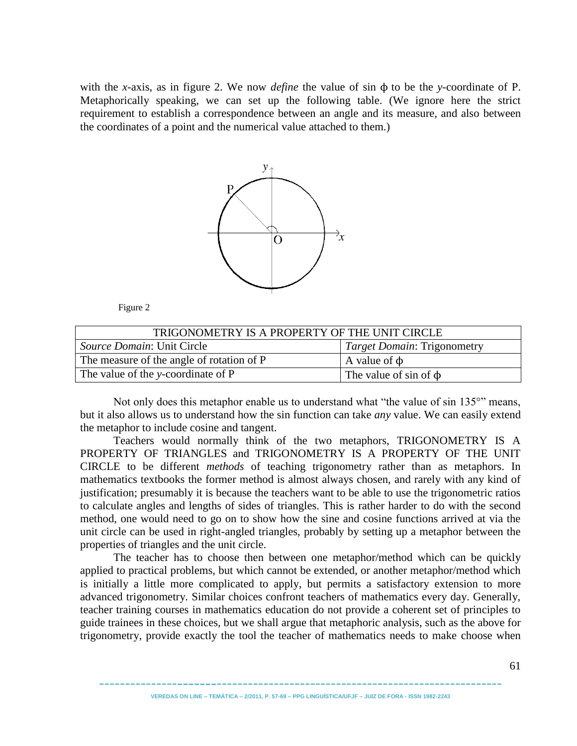with the *x*-axis, as in figure 2. We now *define* the value of sin ϕ to be the *y*-coordinate of P. Metaphorically speaking, we can set up the following table. (We ignore here the strict requirement to establish a correspondence between an angle and its measure, and also between the coordinates of a point and the numerical value attached to them.)



Figure 2

| TRIGONOMETRY IS A PROPERTY OF THE UNIT CIRCLE                    |                            |  |
|------------------------------------------------------------------|----------------------------|--|
| Source Domain: Unit Circle<br><i>Target Domain: Trigonometry</i> |                            |  |
| The measure of the angle of rotation of P                        | A value of $\phi$          |  |
| The value of the y-coordinate of P                               | The value of sin of $\phi$ |  |

Not only does this metaphor enable us to understand what "the value of sin 135°" means, but it also allows us to understand how the sin function can take *any* value. We can easily extend the metaphor to include cosine and tangent.

Teachers would normally think of the two metaphors, TRIGONOMETRY IS A PROPERTY OF TRIANGLES and TRIGONOMETRY IS A PROPERTY OF THE UNIT CIRCLE to be different *methods* of teaching trigonometry rather than as metaphors. In mathematics textbooks the former method is almost always chosen, and rarely with any kind of justification; presumably it is because the teachers want to be able to use the trigonometric ratios to calculate angles and lengths of sides of triangles. This is rather harder to do with the second method, one would need to go on to show how the sine and cosine functions arrived at via the unit circle can be used in right-angled triangles, probably by setting up a metaphor between the properties of triangles and the unit circle.

The teacher has to choose then between one metaphor/method which can be quickly applied to practical problems, but which cannot be extended, or another metaphor/method which is initially a little more complicated to apply, but permits a satisfactory extension to more advanced trigonometry. Similar choices confront teachers of mathematics every day. Generally, teacher training courses in mathematics education do not provide a coherent set of principles to guide trainees in these choices, but we shall argue that metaphoric analysis, such as the above for trigonometry, provide exactly the tool the teacher of mathematics needs to make choose when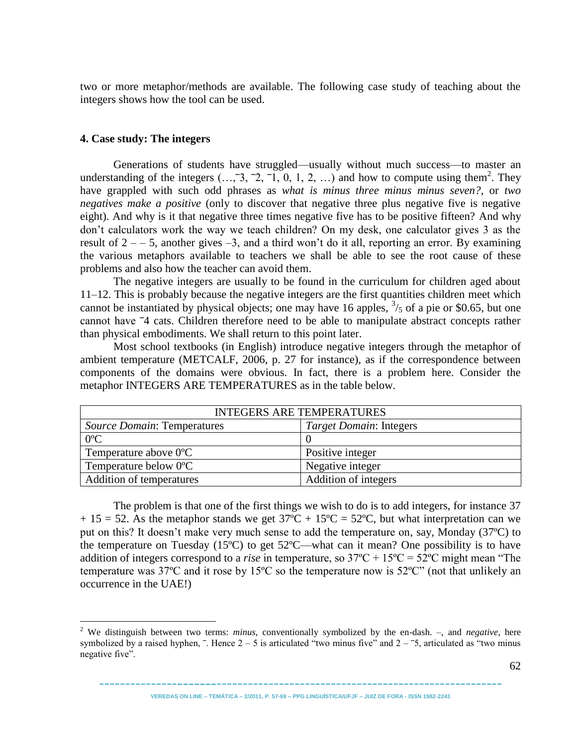two or more metaphor/methods are available. The following case study of teaching about the integers shows how the tool can be used.

#### **4. Case study: The integers**

 $\overline{a}$ 

Generations of students have struggled—usually without much success—to master an understanding of the integers  $(..., \overline{3}, \overline{2}, \overline{1}, 0, 1, 2, ...)$  and how to compute using them<sup>2</sup>. They have grappled with such odd phrases as *what is minus three minus minus seven?*, or *two negatives make a positive* (only to discover that negative three plus negative five is negative eight). And why is it that negative three times negative five has to be positive fifteen? And why don't calculators work the way we teach children? On my desk, one calculator gives 3 as the result of  $2 - -5$ , another gives  $-3$ , and a third won't do it all, reporting an error. By examining the various metaphors available to teachers we shall be able to see the root cause of these problems and also how the teacher can avoid them.

The negative integers are usually to be found in the curriculum for children aged about 11–12. This is probably because the negative integers are the first quantities children meet which cannot be instantiated by physical objects; one may have 16 apples,  $\frac{3}{5}$  of a pie or \$0.65, but one cannot have  $-4$  cats. Children therefore need to be able to manipulate abstract concepts rather than physical embodiments. We shall return to this point later.

Most school textbooks (in English) introduce negative integers through the metaphor of ambient temperature (METCALF, 2006, p. 27 for instance), as if the correspondence between components of the domains were obvious. In fact, there is a problem here. Consider the metaphor INTEGERS ARE TEMPERATURES as in the table below.

| INTEGERS ARE TEMPERATURES                                            |                      |  |
|----------------------------------------------------------------------|----------------------|--|
| <i>Source Domain: Temperatures</i><br><i>Target Domain: Integers</i> |                      |  |
| $0^{\circ}$ C                                                        |                      |  |
| Temperature above $0^{\circ}$ C                                      | Positive integer     |  |
| Temperature below 0°C                                                | Negative integer     |  |
| Addition of temperatures                                             | Addition of integers |  |

The problem is that one of the first things we wish to do is to add integers, for instance 37  $+ 15 = 52$ . As the metaphor stands we get  $37^{\circ}\text{C} + 15^{\circ}\text{C} = 52^{\circ}\text{C}$ , but what interpretation can we put on this? It doesn't make very much sense to add the temperature on, say, Monday (37ºC) to the temperature on Tuesday (15ºC) to get 52ºC—what can it mean? One possibility is to have addition of integers correspond to a *rise* in temperature, so  $37^{\circ}C + 15^{\circ}C = 52^{\circ}C$  might mean "The temperature was  $37^{\circ}$ C and it rose by  $15^{\circ}$ C so the temperature now is  $52^{\circ}$ C" (not that unlikely an occurrence in the UAE!)

<sup>2</sup> We distinguish between two terms: *minus*, conventionally symbolized by the en-dash. –, and *negative*, here symbolized by a raised hyphen,  $\overline{\phantom{a}}$ . Hence 2 – 5 is articulated "two minus five" and 2 –  $\overline{\phantom{a}}$ 5, articulated as "two minus negative five".

<sup>---------------</sup>-------------------------------------------------------------- **VEREDAS ON LINE – TEMÁTICA – 2/2011, P. 57-69 – PPG LINGUÍSTICA/UFJF – JUIZ DE FORA - ISSN 1982-2243**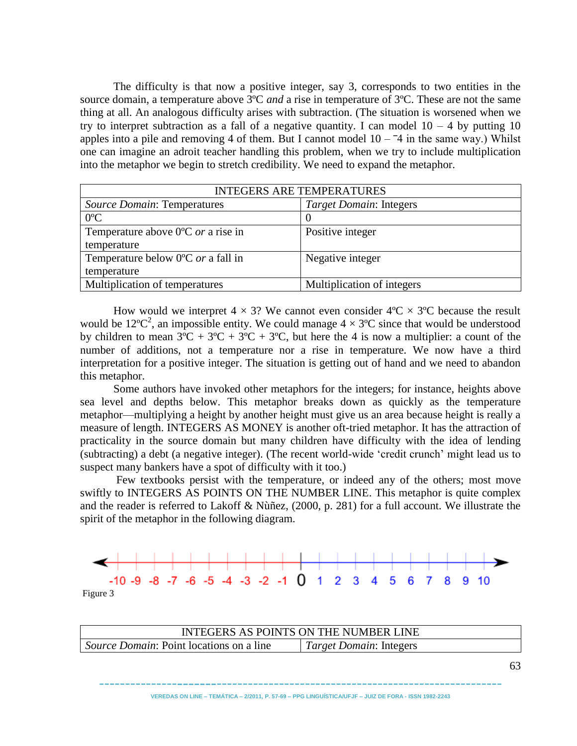The difficulty is that now a positive integer, say 3, corresponds to two entities in the source domain, a temperature above 3ºC *and* a rise in temperature of 3ºC. These are not the same thing at all. An analogous difficulty arises with subtraction. (The situation is worsened when we try to interpret subtraction as a fall of a negative quantity. I can model  $10 - 4$  by putting 10 apples into a pile and removing 4 of them. But I cannot model  $10 - 4$  in the same way.) Whilst one can imagine an adroit teacher handling this problem, when we try to include multiplication into the metaphor we begin to stretch credibility. We need to expand the metaphor.

| <b>INTEGERS ARE TEMPERATURES</b>                    |                            |  |
|-----------------------------------------------------|----------------------------|--|
| <b>Source Domain: Temperatures</b>                  | Target Domain: Integers    |  |
| $0^{\circ}C$                                        |                            |  |
| Temperature above $0^{\circ}$ C <i>or</i> a rise in | Positive integer           |  |
| temperature                                         |                            |  |
| Temperature below 0°C or a fall in                  | Negative integer           |  |
| temperature                                         |                            |  |
| Multiplication of temperatures                      | Multiplication of integers |  |

How would we interpret  $4 \times 3$ ? We cannot even consider  $4^{\circ}C \times 3^{\circ}C$  because the result would be 12°C<sup>2</sup>, an impossible entity. We could manage  $4 \times 3$ °C since that would be understood by children to mean  $3^{\circ}\text{C} + 3^{\circ}\text{C} + 3^{\circ}\text{C} + 3^{\circ}\text{C}$ , but here the 4 is now a multiplier: a count of the number of additions, not a temperature nor a rise in temperature. We now have a third interpretation for a positive integer. The situation is getting out of hand and we need to abandon this metaphor.

Some authors have invoked other metaphors for the integers; for instance, heights above sea level and depths below. This metaphor breaks down as quickly as the temperature metaphor—multiplying a height by another height must give us an area because height is really a measure of length. INTEGERS AS MONEY is another oft-tried metaphor. It has the attraction of practicality in the source domain but many children have difficulty with the idea of lending (subtracting) a debt (a negative integer). (The recent world-wide ‗credit crunch' might lead us to suspect many bankers have a spot of difficulty with it too.)

Few textbooks persist with the temperature, or indeed any of the others; most move swiftly to INTEGERS AS POINTS ON THE NUMBER LINE. This metaphor is quite complex and the reader is referred to Lakoff & Nùñez, (2000, p. 281) for a full account. We illustrate the spirit of the metaphor in the following diagram.





| INTEGERS AS POINTS ON THE NUMBER LINE           |                                |
|-------------------------------------------------|--------------------------------|
| <i>Source Domain:</i> Point locations on a line | <i>Target Domain: Integers</i> |
|                                                 |                                |

----------------------------------------------------------------------------- **VEREDAS ON LINE – TEMÁTICA – 2/2011, P. 57-69 – PPG LINGUÍSTICA/UFJF – JUIZ DE FORA - ISSN 1982-2243**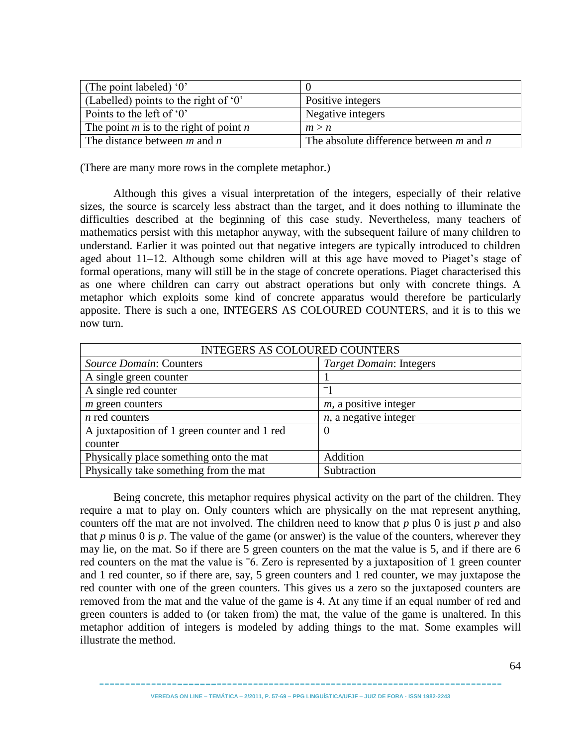| (The point labeled) $0$                    |                                             |
|--------------------------------------------|---------------------------------------------|
| (Labelled) points to the right of $0$ '    | Positive integers                           |
| Points to the left of $0$                  | Negative integers                           |
| The point $m$ is to the right of point $n$ | m > n                                       |
| The distance between $m$ and $n$           | The absolute difference between $m$ and $n$ |

(There are many more rows in the complete metaphor.)

Although this gives a visual interpretation of the integers, especially of their relative sizes, the source is scarcely less abstract than the target, and it does nothing to illuminate the difficulties described at the beginning of this case study. Nevertheless, many teachers of mathematics persist with this metaphor anyway, with the subsequent failure of many children to understand. Earlier it was pointed out that negative integers are typically introduced to children aged about 11–12. Although some children will at this age have moved to Piaget's stage of formal operations, many will still be in the stage of concrete operations. Piaget characterised this as one where children can carry out abstract operations but only with concrete things. A metaphor which exploits some kind of concrete apparatus would therefore be particularly apposite. There is such a one, INTEGERS AS COLOURED COUNTERS, and it is to this we now turn.

| <b>INTEGERS AS COLOURED COUNTERS</b>         |                          |  |
|----------------------------------------------|--------------------------|--|
| Source Domain: Counters                      | Target Domain: Integers  |  |
| A single green counter                       |                          |  |
| A single red counter                         |                          |  |
| $m$ green counters                           | $m$ , a positive integer |  |
| $n$ red counters                             | $n$ , a negative integer |  |
| A juxtaposition of 1 green counter and 1 red | $\theta$                 |  |
| counter                                      |                          |  |
| Physically place something onto the mat      | Addition                 |  |
| Physically take something from the mat       | Subtraction              |  |

Being concrete, this metaphor requires physical activity on the part of the children. They require a mat to play on. Only counters which are physically on the mat represent anything, counters off the mat are not involved. The children need to know that *p* plus 0 is just *p* and also that *p* minus 0 is *p*. The value of the game (or answer) is the value of the counters, wherever they may lie, on the mat. So if there are 5 green counters on the mat the value is 5, and if there are 6 red counters on the mat the value is  $\overline{6}$ . Zero is represented by a juxtaposition of 1 green counter and 1 red counter, so if there are, say, 5 green counters and 1 red counter, we may juxtapose the red counter with one of the green counters. This gives us a zero so the juxtaposed counters are removed from the mat and the value of the game is 4. At any time if an equal number of red and green counters is added to (or taken from) the mat, the value of the game is unaltered. In this metaphor addition of integers is modeled by adding things to the mat. Some examples will illustrate the method.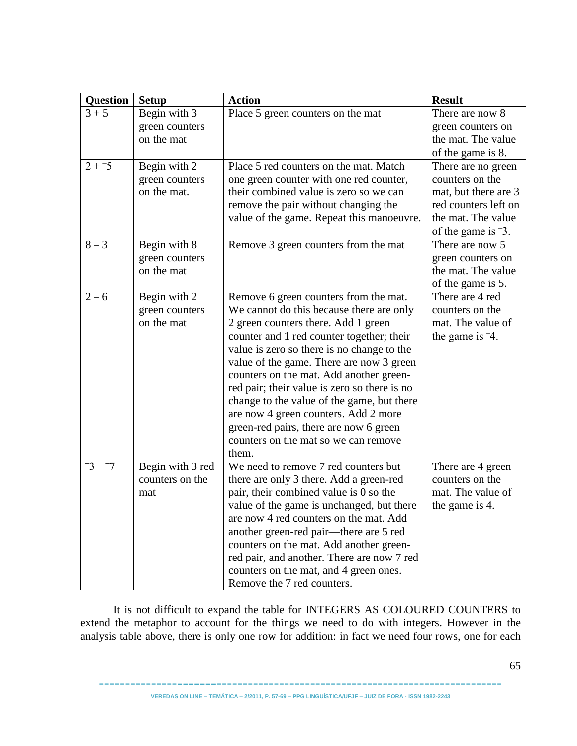| <b>Question</b> | <b>Setup</b>                                  | <b>Action</b>                                                                                                                                                                                                                                                                                                                                                                                                                                                                                                                               | <b>Result</b>                                                                                                                                 |
|-----------------|-----------------------------------------------|---------------------------------------------------------------------------------------------------------------------------------------------------------------------------------------------------------------------------------------------------------------------------------------------------------------------------------------------------------------------------------------------------------------------------------------------------------------------------------------------------------------------------------------------|-----------------------------------------------------------------------------------------------------------------------------------------------|
| $3 + 5$         | Begin with 3<br>green counters<br>on the mat  | Place 5 green counters on the mat                                                                                                                                                                                                                                                                                                                                                                                                                                                                                                           | There are now 8<br>green counters on<br>the mat. The value<br>of the game is 8.                                                               |
| $2 + 5$         | Begin with 2<br>green counters<br>on the mat. | Place 5 red counters on the mat. Match<br>one green counter with one red counter,<br>their combined value is zero so we can<br>remove the pair without changing the<br>value of the game. Repeat this manoeuvre.                                                                                                                                                                                                                                                                                                                            | There are no green<br>counters on the<br>mat, but there are 3<br>red counters left on<br>the mat. The value<br>of the game is <sup>-3</sup> . |
| $8 - 3$         | Begin with 8<br>green counters<br>on the mat  | Remove 3 green counters from the mat                                                                                                                                                                                                                                                                                                                                                                                                                                                                                                        | There are now 5<br>green counters on<br>the mat. The value<br>of the game is 5.                                                               |
| $2 - 6$         | Begin with 2<br>green counters<br>on the mat  | Remove 6 green counters from the mat.<br>We cannot do this because there are only<br>2 green counters there. Add 1 green<br>counter and 1 red counter together; their<br>value is zero so there is no change to the<br>value of the game. There are now 3 green<br>counters on the mat. Add another green-<br>red pair; their value is zero so there is no<br>change to the value of the game, but there<br>are now 4 green counters. Add 2 more<br>green-red pairs, there are now 6 green<br>counters on the mat so we can remove<br>them. | There are 4 red<br>counters on the<br>mat. The value of<br>the game is $-4$ .                                                                 |
| $-3 - 7$        | Begin with 3 red<br>counters on the<br>mat    | We need to remove 7 red counters but<br>there are only 3 there. Add a green-red<br>pair, their combined value is 0 so the<br>value of the game is unchanged, but there<br>are now 4 red counters on the mat. Add<br>another green-red pair-there are 5 red<br>counters on the mat. Add another green-<br>red pair, and another. There are now 7 red<br>counters on the mat, and 4 green ones.<br>Remove the 7 red counters.                                                                                                                 | There are 4 green<br>counters on the<br>mat. The value of<br>the game is 4.                                                                   |

It is not difficult to expand the table for INTEGERS AS COLOURED COUNTERS to extend the metaphor to account for the things we need to do with integers. However in the analysis table above, there is only one row for addition: in fact we need four rows, one for each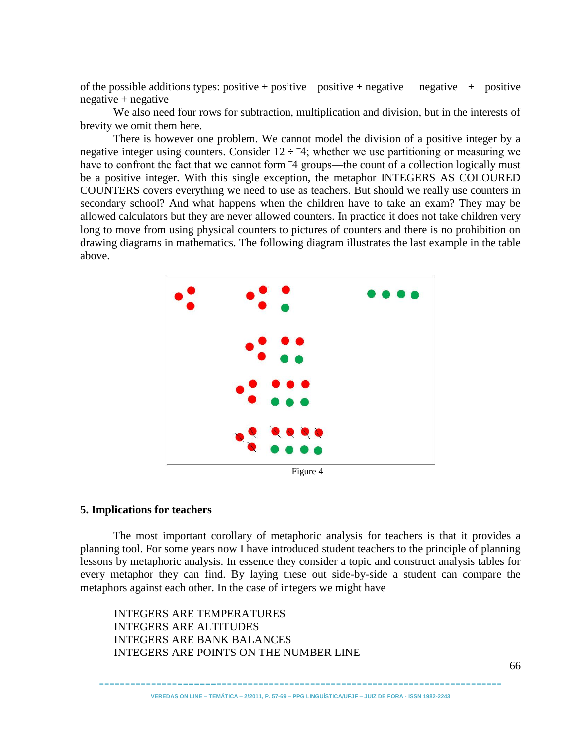of the possible additions types: positive + positive positive + negative  $\frac{1}{1}$  + positive negative + negative

We also need four rows for subtraction, multiplication and division, but in the interests of brevity we omit them here.

There is however one problem. We cannot model the division of a positive integer by a negative integer using counters. Consider  $12 \div 74$ ; whether we use partitioning or measuring we have to confront the fact that we cannot form  $\overline{4}$  groups—the count of a collection logically must be a positive integer. With this single exception, the metaphor INTEGERS AS COLOURED COUNTERS covers everything we need to use as teachers. But should we really use counters in secondary school? And what happens when the children have to take an exam? They may be allowed calculators but they are never allowed counters. In practice it does not take children very long to move from using physical counters to pictures of counters and there is no prohibition on drawing diagrams in mathematics. The following diagram illustrates the last example in the table above.



Figure 4

## **5. Implications for teachers**

The most important corollary of metaphoric analysis for teachers is that it provides a planning tool. For some years now I have introduced student teachers to the principle of planning lessons by metaphoric analysis. In essence they consider a topic and construct analysis tables for every metaphor they can find. By laying these out side-by-side a student can compare the metaphors against each other. In the case of integers we might have

INTEGERS ARE TEMPERATURES INTEGERS ARE ALTITUDES INTEGERS ARE BANK BALANCES INTEGERS ARE POINTS ON THE NUMBER LINE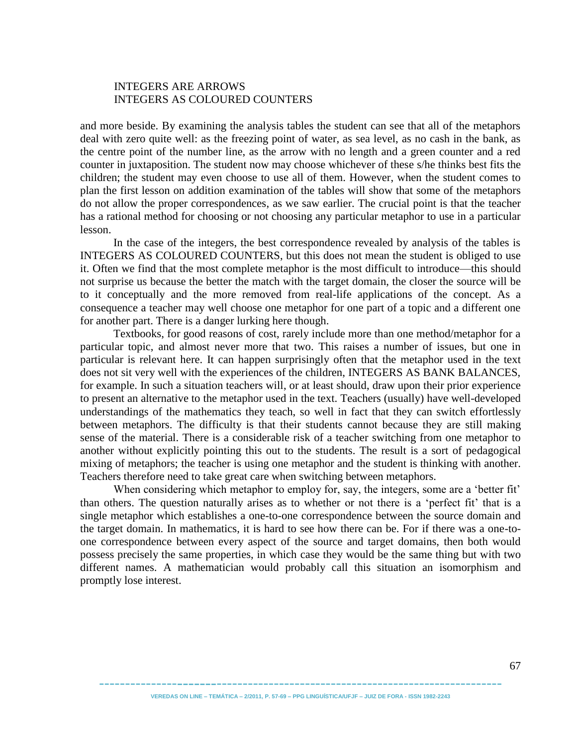## INTEGERS ARE ARROWS INTEGERS AS COLOURED COUNTERS

and more beside. By examining the analysis tables the student can see that all of the metaphors deal with zero quite well: as the freezing point of water, as sea level, as no cash in the bank, as the centre point of the number line, as the arrow with no length and a green counter and a red counter in juxtaposition. The student now may choose whichever of these s/he thinks best fits the children; the student may even choose to use all of them. However, when the student comes to plan the first lesson on addition examination of the tables will show that some of the metaphors do not allow the proper correspondences, as we saw earlier. The crucial point is that the teacher has a rational method for choosing or not choosing any particular metaphor to use in a particular lesson.

In the case of the integers, the best correspondence revealed by analysis of the tables is INTEGERS AS COLOURED COUNTERS, but this does not mean the student is obliged to use it. Often we find that the most complete metaphor is the most difficult to introduce—this should not surprise us because the better the match with the target domain, the closer the source will be to it conceptually and the more removed from real-life applications of the concept. As a consequence a teacher may well choose one metaphor for one part of a topic and a different one for another part. There is a danger lurking here though.

Textbooks, for good reasons of cost, rarely include more than one method/metaphor for a particular topic, and almost never more that two. This raises a number of issues, but one in particular is relevant here. It can happen surprisingly often that the metaphor used in the text does not sit very well with the experiences of the children, INTEGERS AS BANK BALANCES, for example. In such a situation teachers will, or at least should, draw upon their prior experience to present an alternative to the metaphor used in the text. Teachers (usually) have well-developed understandings of the mathematics they teach, so well in fact that they can switch effortlessly between metaphors. The difficulty is that their students cannot because they are still making sense of the material. There is a considerable risk of a teacher switching from one metaphor to another without explicitly pointing this out to the students. The result is a sort of pedagogical mixing of metaphors; the teacher is using one metaphor and the student is thinking with another. Teachers therefore need to take great care when switching between metaphors.

When considering which metaphor to employ for, say, the integers, some are a 'better fit' than others. The question naturally arises as to whether or not there is a 'perfect fit' that is a single metaphor which establishes a one-to-one correspondence between the source domain and the target domain. In mathematics, it is hard to see how there can be. For if there was a one-toone correspondence between every aspect of the source and target domains, then both would possess precisely the same properties, in which case they would be the same thing but with two different names. A mathematician would probably call this situation an isomorphism and promptly lose interest.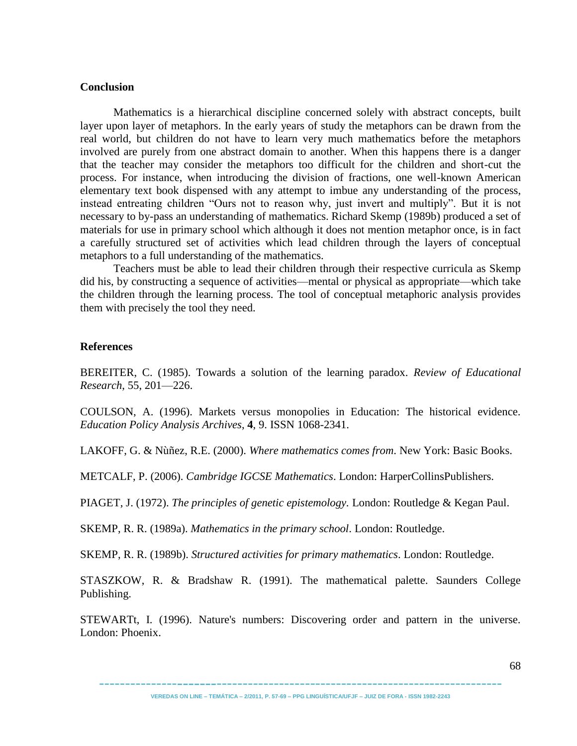#### **Conclusion**

Mathematics is a hierarchical discipline concerned solely with abstract concepts, built layer upon layer of metaphors. In the early years of study the metaphors can be drawn from the real world, but children do not have to learn very much mathematics before the metaphors involved are purely from one abstract domain to another. When this happens there is a danger that the teacher may consider the metaphors too difficult for the children and short-cut the process. For instance, when introducing the division of fractions, one well-known American elementary text book dispensed with any attempt to imbue any understanding of the process, instead entreating children "Ours not to reason why, just invert and multiply". But it is not necessary to by-pass an understanding of mathematics. Richard Skemp (1989b) produced a set of materials for use in primary school which although it does not mention metaphor once, is in fact a carefully structured set of activities which lead children through the layers of conceptual metaphors to a full understanding of the mathematics.

Teachers must be able to lead their children through their respective curricula as Skemp did his, by constructing a sequence of activities—mental or physical as appropriate—which take the children through the learning process. The tool of conceptual metaphoric analysis provides them with precisely the tool they need.

## **References**

BEREITER, C. (1985). Towards a solution of the learning paradox. *Review of Educational Research*, 55, 201—226.

COULSON, A. (1996). Markets versus monopolies in Education: The historical evidence. *Education Policy Analysis Archives*, **4**, 9. ISSN 1068-2341.

LAKOFF, G. & Nùñez, R.E. (2000). *Where mathematics comes from*. New York: Basic Books.

METCALF, P. (2006). *Cambridge IGCSE Mathematics*. London: HarperCollinsPublishers.

PIAGET, J. (1972). *The principles of genetic epistemology.* London: Routledge & Kegan Paul.

SKEMP, R. R. (1989a). *Mathematics in the primary school*. London: Routledge.

SKEMP, R. R. (1989b). *Structured activities for primary mathematics*. London: Routledge.

STASZKOW, R. & Bradshaw R. (1991). The mathematical palette. Saunders College Publishing.

STEWARTt, I. (1996). Nature's numbers: Discovering order and pattern in the universe. London: Phoenix.